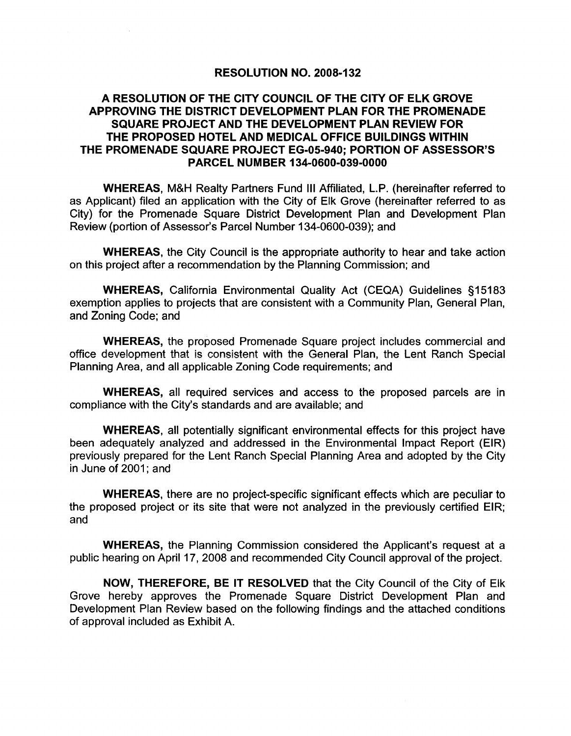#### RESOLUTION NO. 2008-132

### A RESOLUTION OF THE CITY COUNCIL OF THE CITY OF ELK GROVE APPROVING THE DISTRICT DEVELOPMENT PLAN FOR THE PROMENADE SQUARE PROJECT AND THE DEVELOPMENT PLAN REVIEW FOR THE PROPOSED HOTEL AND MEDICAL OFFICE BUILDINGS WITHIN THE PROMENADE SQUARE PROJECT EG-05-940; PORTION OF ASSESSOR'S PARCEL NUMBER 134-0600-039-0000

WHEREAS, M&H Realty Partners Fund III Affiliated, L.P. (hereinafter referred to as Applicant) filed an application with the City of Elk Grove (hereinafter referred to as City) for the Promenade Square District Development Plan and Development Plan Review (portion of Assessor's Parcel Number 134-0600-039); and

WHEREAS, the City Council is the appropriate authority to hear and take action on this project after a recommendation by the Planning Commission; and

WHEREAS, California Environmental Quality Act (CEQA) Guidelines §15183 exemption applies to projects that are consistent with a Community Plan, General Plan, and Zoning Code; and

WHEREAS, the proposed Promenade Square project includes commercial and office development that is consistent with the General Plan, the Lent Ranch Special Planning Area, and all applicable Zoning Code requirements; and

WHEREAS, all required services and access to the proposed parcels are in compliance with the City's standards and are available; and

WHEREAS, all potentially significant environmental effects for this project have been adequately analyzed and addressed in the Environmental Impact Report (EIR) previously prepared for the Lent Ranch Special Planning Area and adopted by the City in June of 2001; and

WHEREAS, there are no project-specific significant effects which are peculiar to the proposed project or its site that were not analyzed in the previously certified EIR; and

WHEREAS, the Planning Commission considered the Applicant's request at a public hearing on April 17, 2008 and recommended City Council approval of the project.

NOW, THEREFORE, BE IT RESOLVED that the City Council of the City of Elk Grove hereby approves the Promenade Square District Development Plan and Development Plan Review based on the followinq findings and the attached conditions of approval included as Exhibit A.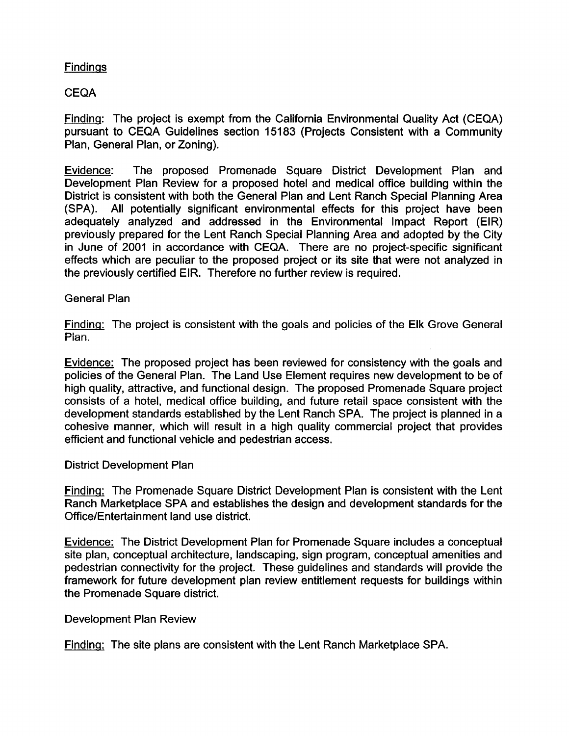## **Findings**

## CEQA

Finding: The project is exempt from the California Environmental Quality Act (CEQA) pursuant to CEQA Guidelines section 15183 (Projects Consistent with a Community Plan, General Plan, or Zoning).

Evidence: The proposed Promenade Square District Development Plan and Development Plan Review for a proposed hotel and medical office building within the District is consistent with both the General Plan and Lent Ranch Special Planning Area (SPA). All potentially significant environmental effects for this project have been adequately analyzed and addressed in the Environmental Impact Report (EIR) previously prepared for the Lent Ranch Special Planning Area and adopted by the City in June of 2001 in accordance with CEQA. There are no project-specific significant effects which are peculiar to the proposed project or its site that were not analyzed in the previously certified EIR. Therefore no further review is required.

#### General Plan

Finding: The project is consistent with the goals and policies of the Elk Grove General Plan.

Evidence: The proposed project has been reviewed for consistency with the goals and policies of the General Plan. The Land Use Element requires new development to be of high quality, attractive, and functional design. The proposed Promenade Square project consists of a hotel, medical office building, and future retail space consistent with the development standards established by the Lent Ranch SPA. The project is planned in a cohesive manner, which will result in a high quality commercial project that provides efficient and functional vehicle and pedestrian access.

#### District Development Plan

Finding: The Promenade Square District Development Plan is consistent with the Lent Ranch Marketplace SPA and establishes the design and development standards for the Office/Entertainment land use district.

Evidence: The District Development Plan for Promenade Square includes a conceptual site plan, conceptual architecture, landscaping, sign program, conceptual amenities and pedestrian connectivity for the project. These guidelines and standards will provide the framework for future development plan review entitlement requests for buildings within the Promenade Square district.

#### Development Plan Review

Finding: The site plans are consistent with the Lent Ranch Marketplace SPA.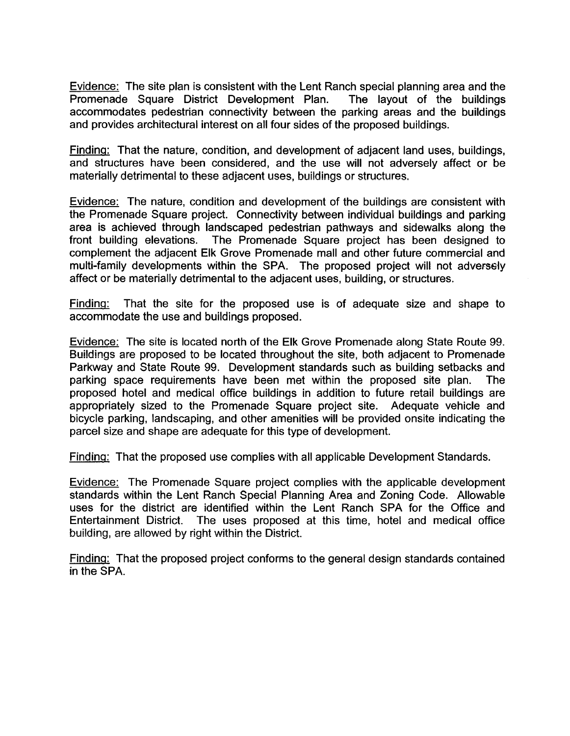Evidence: The site plan is consistent with the Lent Ranch special planning area and the Promenade Square District Development Plan. The layout of the buildings accommodates pedestrian connectivity between the parking areas and the buildings and provides architectural interest on all four sides of the proposed buildings.

Finding: That the nature, condition, and development of adjacent land uses, buildings, and structures have been considered, and the use will not adversely affect or be materially detrimental to these adjacent uses, buildings or structures.

Evidence: The nature, condition and development of the buildings are consistent with the Promenade Square project. Connectivity between individual buildings and parking area is achieved through landscaped pedestrian pathways and sidewalks along the front building elevations. The Promenade Square project has been designed to The Promenade Square project has been designed to complement the adjacent Elk Grove Promenade mall and other future commercial and multi-family developments within the SPA. The proposed project will not adversely affect or be materially detrimental to the adjacent uses, building, or structures.

Finding: That the site for the proposed use is of adequate size and shape to accommodate the use and buildings proposed.

Evidence: The site is located north of the Elk Grove Promenade along State Route 99. Buildings are proposed to be located throughout the site, both adjacent to Promenade Parkway and State Route 99. Development standards such as building setbacks and parking space requirements have been met within the proposed site plan. The proposed hotel and medical office buildings in addition to future retail buildings are appropriately sized to the Promenade Square project site. Adequate vehicle and bicycle parking, landscaping, and other amenities will be provided onsite indicating the parcel size and shape are adequate for this type of development.

Finding: That the proposed use complies with all applicable Development Standards.

Evidence: The Promenade Square project complies with the applicable development standards within the Lent Ranch Special Planning Area and Zoning Code. Allowable uses for the district are identified within the Lent Ranch SPA for the Office and Entertainment District. The uses proposed at this time, hotel and medical office building, are allowed by right within the District.

Finding: That the proposed project conforms to the general design standards contained in the SPA.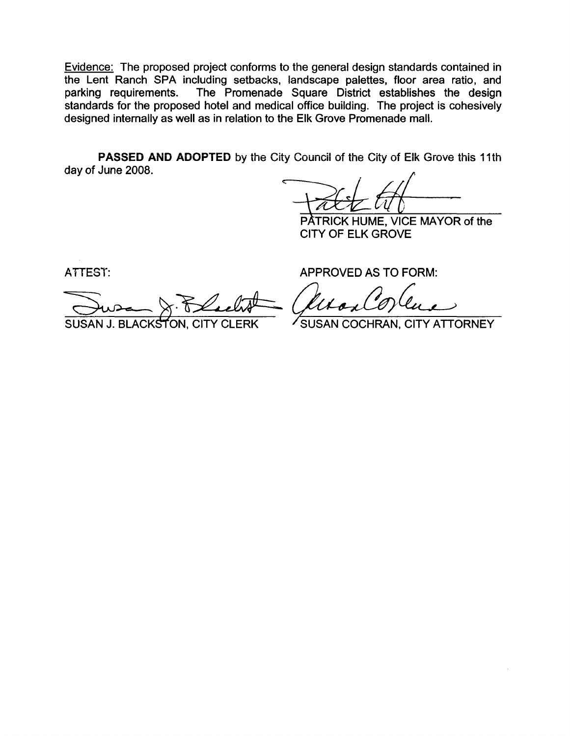Evidence: The proposed project conforms to the general design standards contained in the Lent Ranch SPA including setbacks, landscape palettes, floor area ratio, and parking requirements. The Promenade Square District establishes the design standards for the proposed hotel and medical office building. The project is cohesively designed internally as well as in relation to the Elk Grove Promenade mall.

**PASSED AND ADOPTED** by the City Council of the City of Elk Grove this 11th day of June 2008.

 $\overrightarrow{A}\overrightarrow{A}$ -=-""V.....i~~}~-M-A-Y-O-R of the

E CITY OF ELK GROVE

ATTEST:

Jusa & Blackt SUSAN J. BLACKSTON, CITY CLERK SUSAN COCHRAN, CITY ATTORNEY

APPROVED AS TO FORM: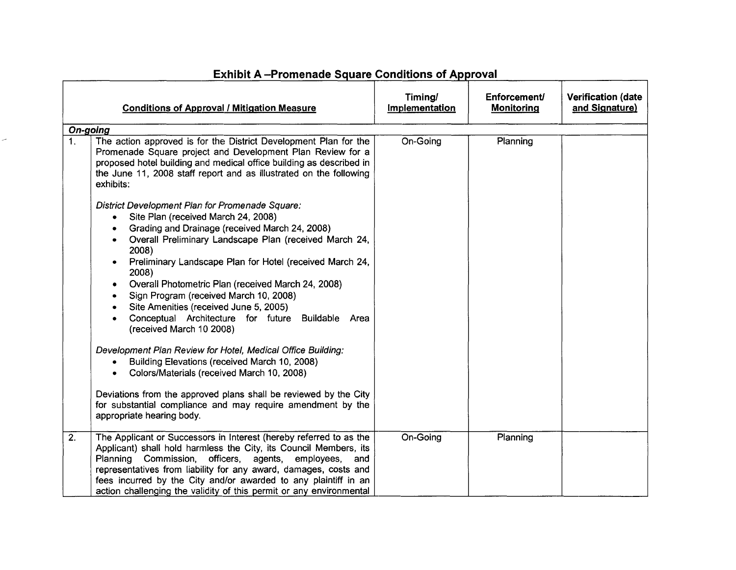|                  | <b>Conditions of Approval / Mitigation Measure</b>                                                                                                                                                                                                                                                                                                                                                                                                                                                                                                                                                                                                                                                                                                                                                                                                                                                                                                                                                                                                                                                                                                 | Timing/<br>Implementation | <b>Enforcement/</b><br><b>Monitoring</b> | <b>Verification (date</b><br>and Signature) |
|------------------|----------------------------------------------------------------------------------------------------------------------------------------------------------------------------------------------------------------------------------------------------------------------------------------------------------------------------------------------------------------------------------------------------------------------------------------------------------------------------------------------------------------------------------------------------------------------------------------------------------------------------------------------------------------------------------------------------------------------------------------------------------------------------------------------------------------------------------------------------------------------------------------------------------------------------------------------------------------------------------------------------------------------------------------------------------------------------------------------------------------------------------------------------|---------------------------|------------------------------------------|---------------------------------------------|
|                  | On-going                                                                                                                                                                                                                                                                                                                                                                                                                                                                                                                                                                                                                                                                                                                                                                                                                                                                                                                                                                                                                                                                                                                                           |                           |                                          |                                             |
| 1 <sub>1</sub>   | The action approved is for the District Development Plan for the<br>Promenade Square project and Development Plan Review for a<br>proposed hotel building and medical office building as described in<br>the June 11, 2008 staff report and as illustrated on the following<br>exhibits:<br>District Development Plan for Promenade Square:<br>Site Plan (received March 24, 2008)<br>$\bullet$<br>Grading and Drainage (received March 24, 2008)<br>Overall Preliminary Landscape Plan (received March 24,<br>2008)<br>Preliminary Landscape Plan for Hotel (received March 24,<br>2008)<br>Overall Photometric Plan (received March 24, 2008)<br>Sign Program (received March 10, 2008)<br>Site Amenities (received June 5, 2005)<br>Conceptual Architecture for future Buildable Area<br>(received March 10 2008)<br>Development Plan Review for Hotel, Medical Office Building:<br>Building Elevations (received March 10, 2008)<br>Colors/Materials (received March 10, 2008)<br>Deviations from the approved plans shall be reviewed by the City<br>for substantial compliance and may require amendment by the<br>appropriate hearing body. | On-Going                  | Planning                                 |                                             |
| $\overline{2}$ . | The Applicant or Successors in Interest (hereby referred to as the<br>Applicant) shall hold harmless the City, its Council Members, its<br>Planning Commission, officers,<br>agents, employees,<br>and<br>representatives from liability for any award, damages, costs and<br>fees incurred by the City and/or awarded to any plaintiff in an<br>action challenging the validity of this permit or any environmental                                                                                                                                                                                                                                                                                                                                                                                                                                                                                                                                                                                                                                                                                                                               | On-Going                  | Planning                                 |                                             |

# **Exhibit A** -Promenade Square Conditions of Approval

 $\overline{\phantom{a}}$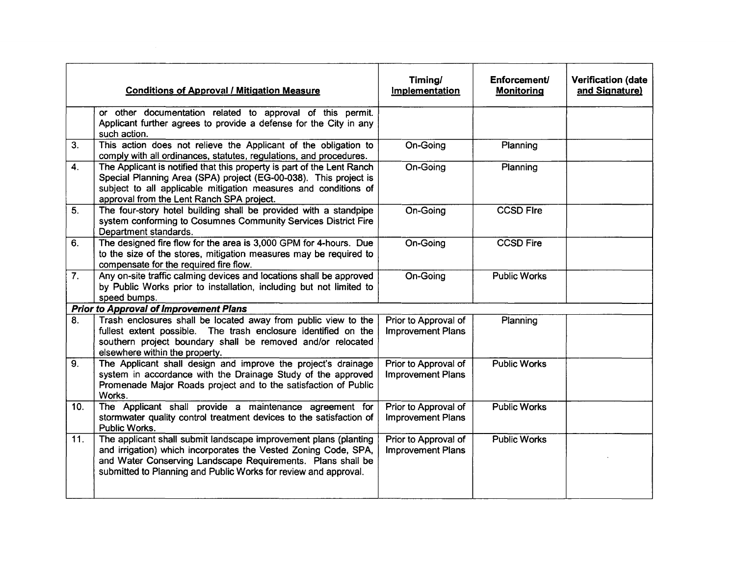|     | <b>Conditions of Approval / Mitigation Measure</b>                                                                                                                                                                                                                    | Timing/<br>Implementation                        | Enforcement/<br><b>Monitoring</b> | <b>Verification (date</b><br>and Signature) |
|-----|-----------------------------------------------------------------------------------------------------------------------------------------------------------------------------------------------------------------------------------------------------------------------|--------------------------------------------------|-----------------------------------|---------------------------------------------|
|     | or other documentation related to approval of this permit.<br>Applicant further agrees to provide a defense for the City in any<br>such action.                                                                                                                       |                                                  |                                   |                                             |
| 3.  | This action does not relieve the Applicant of the obligation to<br>comply with all ordinances, statutes, regulations, and procedures.                                                                                                                                 | On-Going                                         | Planning                          |                                             |
| 4.  | The Applicant is notified that this property is part of the Lent Ranch<br>Special Planning Area (SPA) project (EG-00-038). This project is<br>subject to all applicable mitigation measures and conditions of<br>approval from the Lent Ranch SPA project.            | On-Going                                         | Planning                          |                                             |
| 5.  | The four-story hotel building shall be provided with a standpipe<br>system conforming to Cosumnes Community Services District Fire<br>Department standards.                                                                                                           | On-Going                                         | <b>CCSD Fire</b>                  |                                             |
| 6.  | The designed fire flow for the area is 3,000 GPM for 4-hours. Due<br>to the size of the stores, mitigation measures may be required to<br>compensate for the required fire flow.                                                                                      | On-Going                                         | <b>CCSD Fire</b>                  |                                             |
| 7.  | Any on-site traffic calming devices and locations shall be approved<br>by Public Works prior to installation, including but not limited to<br>speed bumps.                                                                                                            | On-Going                                         | <b>Public Works</b>               |                                             |
|     | <b>Prior to Approval of Improvement Plans</b>                                                                                                                                                                                                                         |                                                  |                                   |                                             |
| 8.  | Trash enclosures shall be located away from public view to the<br>fullest extent possible. The trash enclosure identified on the<br>southern project boundary shall be removed and/or relocated<br>elsewhere within the property.                                     | Prior to Approval of<br><b>Improvement Plans</b> | Planning                          |                                             |
| 9.  | The Applicant shall design and improve the project's drainage<br>system in accordance with the Drainage Study of the approved<br>Promenade Major Roads project and to the satisfaction of Public<br>Works.                                                            | Prior to Approval of<br><b>Improvement Plans</b> | <b>Public Works</b>               |                                             |
| 10. | The Applicant shall provide a maintenance agreement for<br>stormwater quality control treatment devices to the satisfaction of<br>Public Works.                                                                                                                       | Prior to Approval of<br><b>Improvement Plans</b> | <b>Public Works</b>               |                                             |
| 11. | The applicant shall submit landscape improvement plans (planting<br>and irrigation) which incorporates the Vested Zoning Code, SPA,<br>and Water Conserving Landscape Requirements. Plans shall be<br>submitted to Planning and Public Works for review and approval. | Prior to Approval of<br><b>Improvement Plans</b> | <b>Public Works</b>               |                                             |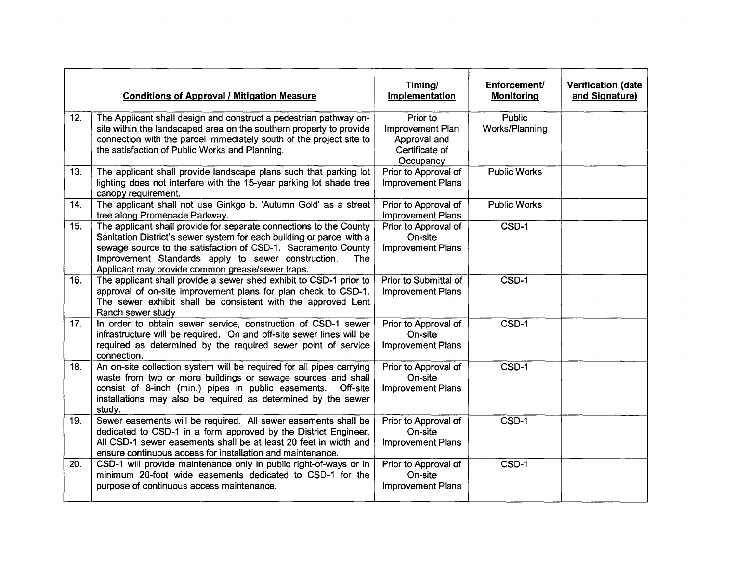|     | <b>Conditions of Approval / Mitigation Measure</b>                                                                                                                                                                                                                                                                            | Timing/<br>Implementation                                                   | Enforcement/<br><b>Monitoring</b> | <b>Verification (date</b><br>and Signature) |
|-----|-------------------------------------------------------------------------------------------------------------------------------------------------------------------------------------------------------------------------------------------------------------------------------------------------------------------------------|-----------------------------------------------------------------------------|-----------------------------------|---------------------------------------------|
| 12. | The Applicant shall design and construct a pedestrian pathway on-<br>site within the landscaped area on the southern property to provide<br>connection with the parcel immediately south of the project site to<br>the satisfaction of Public Works and Planning.                                                             | Prior to<br>Improvement Plan<br>Approval and<br>Certificate of<br>Occupancy | <b>Public</b><br>Works/Planning   |                                             |
| 13. | The applicant shall provide landscape plans such that parking lot<br>lighting does not interfere with the 15-year parking lot shade tree<br>canopy requirement.                                                                                                                                                               | Prior to Approval of<br><b>Improvement Plans</b>                            | <b>Public Works</b>               |                                             |
| 14. | The applicant shall not use Ginkgo b. 'Autumn Gold' as a street<br>tree along Promenade Parkway.                                                                                                                                                                                                                              | Prior to Approval of<br><b>Improvement Plans</b>                            | <b>Public Works</b>               |                                             |
| 15. | The applicant shall provide for separate connections to the County<br>Sanitation District's sewer system for each building or parcel with a<br>sewage source to the satisfaction of CSD-1. Sacramento County<br>Improvement Standards apply to sewer construction.<br>The<br>Applicant may provide common grease/sewer traps. | Prior to Approval of<br>On-site<br><b>Improvement Plans</b>                 | $\overline{\text{CSD-1}}$         |                                             |
| 16. | The applicant shall provide a sewer shed exhibit to CSD-1 prior to<br>approval of on-site improvement plans for plan check to CSD-1.<br>The sewer exhibit shall be consistent with the approved Lent<br>Ranch sewer study                                                                                                     | Prior to Submittal of<br><b>Improvement Plans</b>                           | $CSD-1$                           |                                             |
| 17. | In order to obtain sewer service, construction of CSD-1 sewer<br>infrastructure will be required. On and off-site sewer lines will be<br>required as determined by the required sewer point of service<br>connection.                                                                                                         | Prior to Approval of<br>On-site<br><b>Improvement Plans</b>                 | $\overline{\text{CSD-1}}$         |                                             |
| 18. | An on-site collection system will be required for all pipes carrying<br>waste from two or more buildings or sewage sources and shall<br>consist of 8-inch (min.) pipes in public easements. Off-site<br>installations may also be required as determined by the sewer<br>study.                                               | Prior to Approval of<br>On-site<br><b>Improvement Plans</b>                 | CSD-1                             |                                             |
| 19. | Sewer easements will be required. All sewer easements shall be<br>dedicated to CSD-1 in a form approved by the District Engineer.<br>All CSD-1 sewer easements shall be at least 20 feet in width and<br>ensure continuous access for installation and maintenance.                                                           | Prior to Approval of<br>On-site<br>Improvement Plans                        | $CSD-1$                           |                                             |
| 20. | CSD-1 will provide maintenance only in public right-of-ways or in<br>minimum 20-foot wide easements dedicated to CSD-1 for the<br>purpose of continuous access maintenance.                                                                                                                                                   | Prior to Approval of<br>On-site<br><b>Improvement Plans</b>                 | $CSD-1$                           |                                             |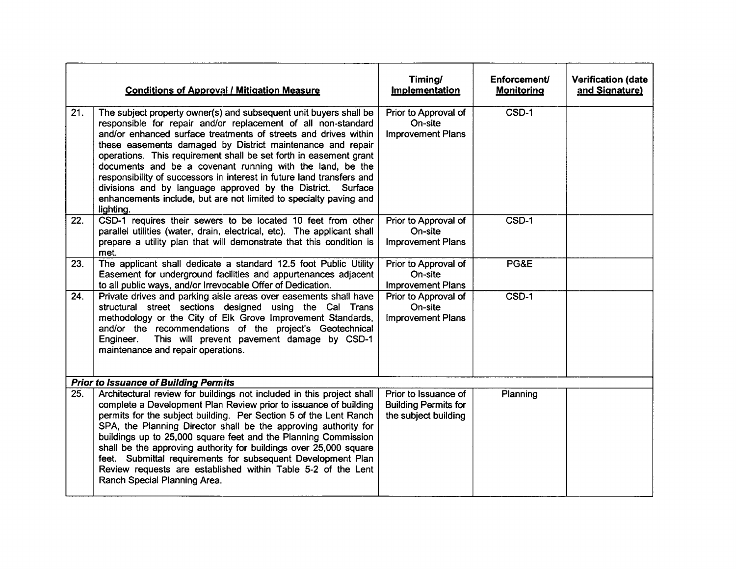|     | <b>Conditions of Approval / Mitigation Measure</b>                                                                                                                                                                                                                                                                                                                                                                                                                                                                                                                                                                              | Timing/<br>Implementation                                                   | Enforcement/<br><b>Monitoring</b> | <b>Verification (date</b><br>and Signature) |
|-----|---------------------------------------------------------------------------------------------------------------------------------------------------------------------------------------------------------------------------------------------------------------------------------------------------------------------------------------------------------------------------------------------------------------------------------------------------------------------------------------------------------------------------------------------------------------------------------------------------------------------------------|-----------------------------------------------------------------------------|-----------------------------------|---------------------------------------------|
| 21. | The subject property owner(s) and subsequent unit buyers shall be<br>responsible for repair and/or replacement of all non-standard<br>and/or enhanced surface treatments of streets and drives within<br>these easements damaged by District maintenance and repair<br>operations. This requirement shall be set forth in easement grant<br>documents and be a covenant running with the land, be the<br>responsibility of successors in interest in future land transfers and<br>divisions and by language approved by the District. Surface<br>enhancements include, but are not limited to specialty paving and<br>lighting. | Prior to Approval of<br>On-site<br><b>Improvement Plans</b>                 | $CSD-1$                           |                                             |
| 22. | CSD-1 requires their sewers to be located 10 feet from other<br>parallel utilities (water, drain, electrical, etc). The applicant shall<br>prepare a utility plan that will demonstrate that this condition is<br>met.                                                                                                                                                                                                                                                                                                                                                                                                          | Prior to Approval of<br>On-site<br><b>Improvement Plans</b>                 | CSD-1                             |                                             |
| 23. | The applicant shall dedicate a standard 12.5 foot Public Utility<br>Easement for underground facilities and appurtenances adjacent<br>to all public ways, and/or Irrevocable Offer of Dedication.                                                                                                                                                                                                                                                                                                                                                                                                                               | Prior to Approval of<br>On-site<br><b>Improvement Plans</b>                 | PG&E                              |                                             |
| 24. | Private drives and parking aisle areas over easements shall have<br>structural street sections designed using the Cal Trans<br>methodology or the City of Elk Grove Improvement Standards,<br>and/or the recommendations of the project's Geotechnical<br>This will prevent pavement damage by CSD-1<br>Engineer.<br>maintenance and repair operations.                                                                                                                                                                                                                                                                         | Prior to Approval of<br>On-site<br><b>Improvement Plans</b>                 | CSD-1                             |                                             |
|     | <b>Prior to Issuance of Building Permits</b>                                                                                                                                                                                                                                                                                                                                                                                                                                                                                                                                                                                    |                                                                             |                                   |                                             |
| 25. | Architectural review for buildings not included in this project shall<br>complete a Development Plan Review prior to issuance of building<br>permits for the subject building. Per Section 5 of the Lent Ranch<br>SPA, the Planning Director shall be the approving authority for<br>buildings up to 25,000 square feet and the Planning Commission<br>shall be the approving authority for buildings over 25,000 square<br>feet. Submittal requirements for subsequent Development Plan<br>Review requests are established within Table 5-2 of the Lent<br>Ranch Special Planning Area.                                        | Prior to Issuance of<br><b>Building Permits for</b><br>the subject building | Planning                          |                                             |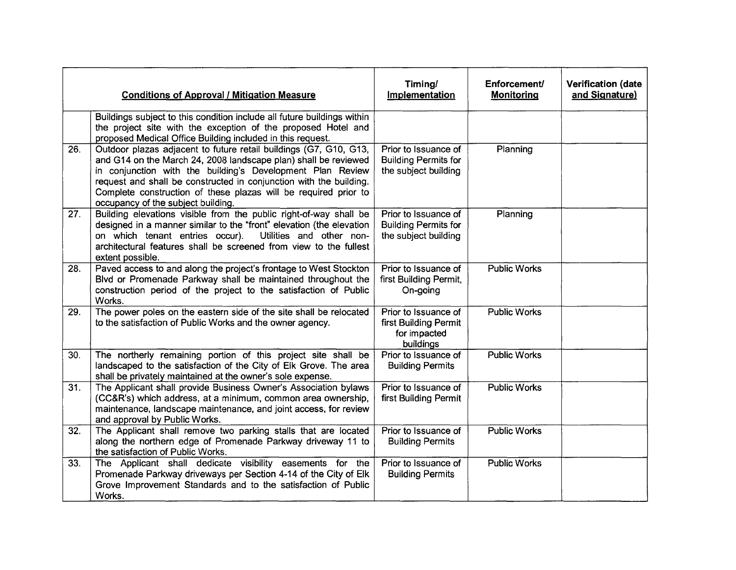|     | <b>Conditions of Approval / Mitigation Measure</b>                                                                                                                                                                                                                                                                                                                                | Timing/<br>Implementation                                                   | Enforcement/<br><b>Monitoring</b> | <b>Verification (date</b><br>and Signature) |
|-----|-----------------------------------------------------------------------------------------------------------------------------------------------------------------------------------------------------------------------------------------------------------------------------------------------------------------------------------------------------------------------------------|-----------------------------------------------------------------------------|-----------------------------------|---------------------------------------------|
|     | Buildings subject to this condition include all future buildings within<br>the project site with the exception of the proposed Hotel and<br>proposed Medical Office Building included in this request.                                                                                                                                                                            |                                                                             |                                   |                                             |
| 26. | Outdoor plazas adjacent to future retail buildings (G7, G10, G13,<br>and G14 on the March 24, 2008 landscape plan) shall be reviewed<br>in conjunction with the building's Development Plan Review<br>request and shall be constructed in conjunction with the building.<br>Complete construction of these plazas will be required prior to<br>occupancy of the subject building. | Prior to Issuance of<br><b>Building Permits for</b><br>the subject building | Planning                          |                                             |
| 27. | Building elevations visible from the public right-of-way shall be<br>designed in a manner similar to the "front" elevation (the elevation<br>Utilities and other non-<br>on which tenant entries occur).<br>architectural features shall be screened from view to the fullest<br>extent possible.                                                                                 | Prior to Issuance of<br><b>Building Permits for</b><br>the subject building | Planning                          |                                             |
| 28. | Paved access to and along the project's frontage to West Stockton<br>Blvd or Promenade Parkway shall be maintained throughout the<br>construction period of the project to the satisfaction of Public<br>Works.                                                                                                                                                                   | Prior to Issuance of<br>first Building Permit,<br>On-going                  | <b>Public Works</b>               |                                             |
| 29. | The power poles on the eastern side of the site shall be relocated<br>to the satisfaction of Public Works and the owner agency.                                                                                                                                                                                                                                                   | Prior to Issuance of<br>first Building Permit<br>for impacted<br>buildings  | <b>Public Works</b>               |                                             |
| 30. | The northerly remaining portion of this project site shall be<br>landscaped to the satisfaction of the City of Elk Grove. The area<br>shall be privately maintained at the owner's sole expense.                                                                                                                                                                                  | Prior to Issuance of<br><b>Building Permits</b>                             | <b>Public Works</b>               |                                             |
| 31. | The Applicant shall provide Business Owner's Association bylaws<br>(CC&R's) which address, at a minimum, common area ownership,<br>maintenance, landscape maintenance, and joint access, for review<br>and approval by Public Works.                                                                                                                                              | Prior to Issuance of<br>first Building Permit                               | <b>Public Works</b>               |                                             |
| 32. | The Applicant shall remove two parking stalls that are located<br>along the northern edge of Promenade Parkway driveway 11 to<br>the satisfaction of Public Works.                                                                                                                                                                                                                | Prior to Issuance of<br><b>Building Permits</b>                             | <b>Public Works</b>               |                                             |
| 33. | The Applicant shall dedicate visibility easements for the<br>Promenade Parkway driveways per Section 4-14 of the City of Elk<br>Grove Improvement Standards and to the satisfaction of Public<br>Works.                                                                                                                                                                           | Prior to Issuance of<br><b>Building Permits</b>                             | <b>Public Works</b>               |                                             |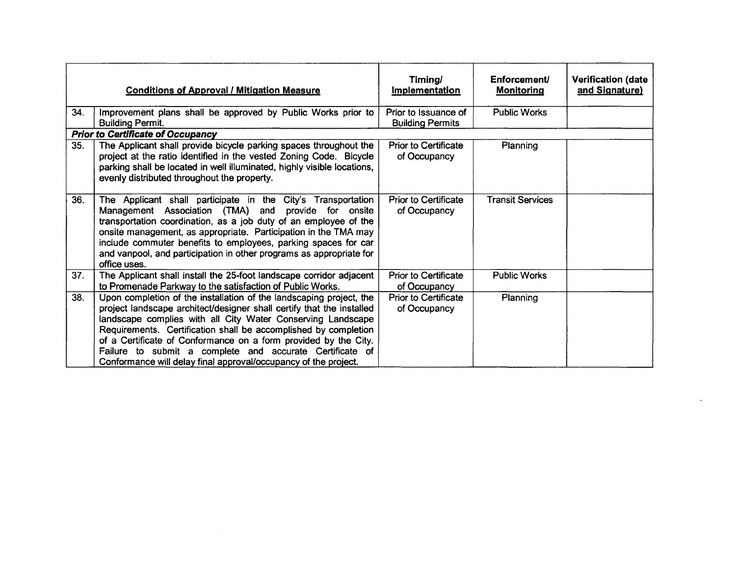|     | <b>Conditions of Approval / Mitigation Measure</b>                                                                                                                                                                                                                                                                                                                                                                                                                               | Timing/<br><b>Implementation</b>                | Enforcement<br><b>Monitoring</b> | <b>Verification (date</b><br>and Signature) |
|-----|----------------------------------------------------------------------------------------------------------------------------------------------------------------------------------------------------------------------------------------------------------------------------------------------------------------------------------------------------------------------------------------------------------------------------------------------------------------------------------|-------------------------------------------------|----------------------------------|---------------------------------------------|
| 34. | Improvement plans shall be approved by Public Works prior to<br><b>Building Permit.</b>                                                                                                                                                                                                                                                                                                                                                                                          | Prior to Issuance of<br><b>Building Permits</b> | <b>Public Works</b>              |                                             |
|     | <b>Prior to Certificate of Occupancy</b>                                                                                                                                                                                                                                                                                                                                                                                                                                         |                                                 |                                  |                                             |
| 35. | The Applicant shall provide bicycle parking spaces throughout the<br>project at the ratio identified in the vested Zoning Code. Bicycle<br>parking shall be located in well illuminated, highly visible locations,<br>evenly distributed throughout the property.                                                                                                                                                                                                                | <b>Prior to Certificate</b><br>of Occupancy     | <b>Planning</b>                  |                                             |
| 36. | The Applicant shall participate in the City's Transportation<br>Management Association (TMA) and provide for onsite<br>transportation coordination, as a job duty of an employee of the<br>onsite management, as appropriate. Participation in the TMA may<br>include commuter benefits to employees, parking spaces for car<br>and vanpool, and participation in other programs as appropriate for<br>office uses.                                                              | <b>Prior to Certificate</b><br>of Occupancy     | <b>Transit Services</b>          |                                             |
| 37. | The Applicant shall install the 25-foot landscape corridor adjacent<br>to Promenade Parkway to the satisfaction of Public Works.                                                                                                                                                                                                                                                                                                                                                 | <b>Prior to Certificate</b><br>of Occupancy     | <b>Public Works</b>              |                                             |
| 38. | Upon completion of the installation of the landscaping project, the<br>project landscape architect/designer shall certify that the installed<br>landscape complies with all City Water Conserving Landscape<br>Requirements. Certification shall be accomplished by completion<br>of a Certificate of Conformance on a form provided by the City.<br>Failure to submit a complete and accurate Certificate of<br>Conformance will delay final approval/occupancy of the project. | <b>Prior to Certificate</b><br>of Occupancy     | <b>Planning</b>                  |                                             |

 $\label{eq:2.1} \frac{1}{\sqrt{2}}\left(\frac{1}{\sqrt{2}}\right)^{2} \left(\frac{1}{\sqrt{2}}\right)^{2} \left(\frac{1}{\sqrt{2}}\right)^{2} \left(\frac{1}{\sqrt{2}}\right)^{2} \left(\frac{1}{\sqrt{2}}\right)^{2} \left(\frac{1}{\sqrt{2}}\right)^{2} \left(\frac{1}{\sqrt{2}}\right)^{2} \left(\frac{1}{\sqrt{2}}\right)^{2} \left(\frac{1}{\sqrt{2}}\right)^{2} \left(\frac{1}{\sqrt{2}}\right)^{2} \left(\frac{1}{\sqrt{2}}\right)^{2} \left(\$